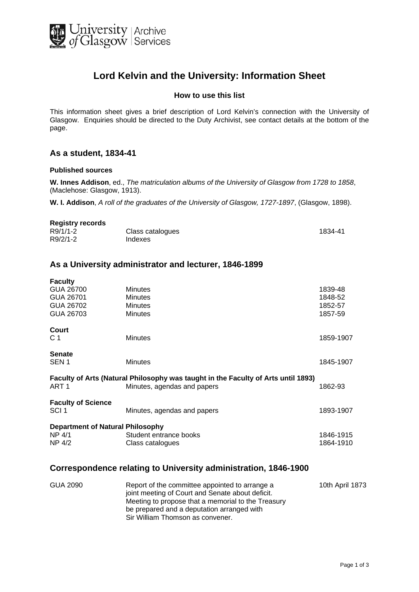

# **Lord Kelvin and the University: Information Sheet**

#### **How to use this list**

This information sheet gives a brief description of Lord Kelvin's connection with the University of Glasgow. Enquiries should be directed to the Duty Archivist, see contact details at the bottom of the page.

#### **As a student, 1834-41**

#### **Published sources**

**W. Innes Addison**, ed., *The matriculation albums of the University of Glasgow from 1728 to 1858*, (Maclehose: Glasgow, 1913).

**W. I. Addison**, *A roll of the graduates of the University of Glasgow, 1727-1897*, (Glasgow, 1898).

| <b>Registry records</b> |                  |         |
|-------------------------|------------------|---------|
| R9/1/1-2                | Class catalogues | 1834-41 |
| R9/2/1-2                | Indexes          |         |

# **As a University administrator and lecturer, 1846-1899**

| <b>Faculty</b>                                                                    |                             |           |  |
|-----------------------------------------------------------------------------------|-----------------------------|-----------|--|
| GUA 26700                                                                         | <b>Minutes</b>              | 1839-48   |  |
| GUA 26701                                                                         | <b>Minutes</b>              | 1848-52   |  |
| GUA 26702                                                                         | <b>Minutes</b>              | 1852-57   |  |
| GUA 26703                                                                         | <b>Minutes</b>              | 1857-59   |  |
| Court                                                                             |                             |           |  |
| C 1                                                                               | <b>Minutes</b>              | 1859-1907 |  |
| <b>Senate</b>                                                                     |                             |           |  |
| SEN <sub>1</sub>                                                                  | <b>Minutes</b>              | 1845-1907 |  |
| Faculty of Arts (Natural Philosophy was taught in the Faculty of Arts until 1893) |                             |           |  |
| ART <sub>1</sub>                                                                  | Minutes, agendas and papers | 1862-93   |  |
| <b>Faculty of Science</b>                                                         |                             |           |  |
| SCI <sub>1</sub>                                                                  | Minutes, agendas and papers | 1893-1907 |  |
| <b>Department of Natural Philosophy</b>                                           |                             |           |  |
| NP 4/1                                                                            | Student entrance books      | 1846-1915 |  |
| NP 4/2                                                                            | Class catalogues            | 1864-1910 |  |
|                                                                                   |                             |           |  |

#### **Correspondence relating to University administration, 1846-1900**

| GUA 2090 | Report of the committee appointed to arrange a     | 10th April 1873 |
|----------|----------------------------------------------------|-----------------|
|          | joint meeting of Court and Senate about deficit.   |                 |
|          | Meeting to propose that a memorial to the Treasury |                 |
|          | be prepared and a deputation arranged with         |                 |
|          | Sir William Thomson as convener.                   |                 |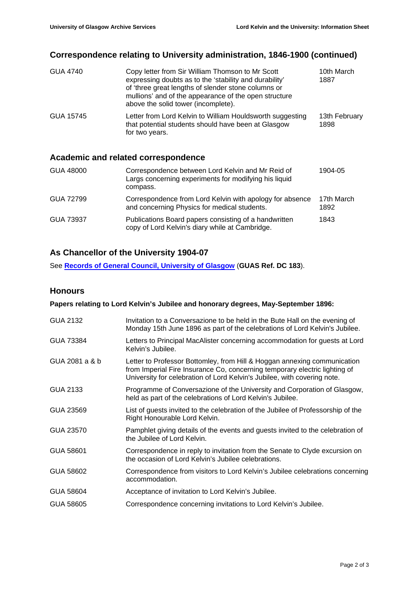# **Correspondence relating to University administration, 1846-1900 (continued)**

| <b>GUA 4740</b> | Copy letter from Sir William Thomson to Mr Scott<br>expressing doubts as to the 'stability and durability'<br>of 'three great lengths of slender stone columns or<br>mullions' and of the appearance of the open structure<br>above the solid tower (incomplete). | 10th March<br>1887    |
|-----------------|-------------------------------------------------------------------------------------------------------------------------------------------------------------------------------------------------------------------------------------------------------------------|-----------------------|
| GUA 15745       | Letter from Lord Kelvin to William Houldsworth suggesting<br>that potential students should have been at Glasgow<br>for two years.                                                                                                                                | 13th February<br>1898 |

# **Academic and related correspondence**

| GUA 48000 | Correspondence between Lord Kelvin and Mr Reid of<br>Largs concerning experiments for modifying his liquid<br>compass. | 1904-05            |
|-----------|------------------------------------------------------------------------------------------------------------------------|--------------------|
| GUA 72799 | Correspondence from Lord Kelvin with apology for absence<br>and concerning Physics for medical students.               | 17th March<br>1892 |
| GUA 73937 | Publications Board papers consisting of a handwritten<br>copy of Lord Kelvin's diary while at Cambridge.               | 1843               |

# **As Chancellor of the University 1904-07**

See **[Records of General Council, University of Glasgow](http://www.gashe.ac.uk:443/cgi-bin/view_isad.pl?id=GB-0248-DC-183&view=basic)** (**GUAS Ref. DC 183**).

# **Honours**

# **Papers relating to Lord Kelvin's Jubilee and honorary degrees, May-September 1896:**

| Invitation to a Conversazione to be held in the Bute Hall on the evening of<br>Monday 15th June 1896 as part of the celebrations of Lord Kelvin's Jubilee.                                                                         |
|------------------------------------------------------------------------------------------------------------------------------------------------------------------------------------------------------------------------------------|
| Letters to Principal MacAlister concerning accommodation for guests at Lord<br>Kelvin's Jubilee.                                                                                                                                   |
| Letter to Professor Bottomley, from Hill & Hoggan annexing communication<br>from Imperial Fire Insurance Co, concerning temporary electric lighting of<br>University for celebration of Lord Kelvin's Jubilee, with covering note. |
| Programme of Conversazione of the University and Corporation of Glasgow,<br>held as part of the celebrations of Lord Kelvin's Jubilee.                                                                                             |
| List of guests invited to the celebration of the Jubilee of Professorship of the<br>Right Honourable Lord Kelvin.                                                                                                                  |
| Pamphlet giving details of the events and guests invited to the celebration of<br>the Jubilee of Lord Kelvin.                                                                                                                      |
| Correspondence in reply to invitation from the Senate to Clyde excursion on<br>the occasion of Lord Kelvin's Jubilee celebrations.                                                                                                 |
| Correspondence from visitors to Lord Kelvin's Jubilee celebrations concerning<br>accommodation.                                                                                                                                    |
| Acceptance of invitation to Lord Kelvin's Jubilee.                                                                                                                                                                                 |
| Correspondence concerning invitations to Lord Kelvin's Jubilee.                                                                                                                                                                    |
|                                                                                                                                                                                                                                    |